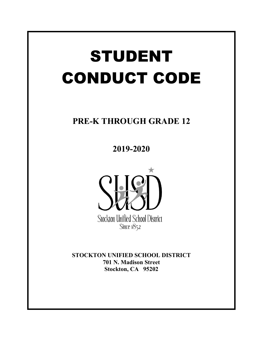# STUDENT CONDUCT CODE

# **PRE-K THROUGH GRADE 12**

**2019-2020**



**STOCKTON UNIFIED SCHOOL DISTRICT 701 N. Madison Street Stockton, CA 95202**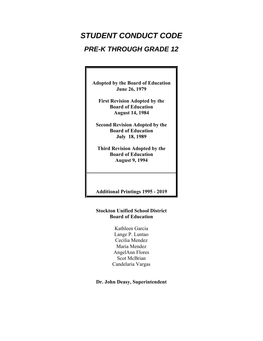# *STUDENT CONDUCT CODE*

# *PRE-K THROUGH GRADE 12*

**Adopted by the Board of Education June 26, 1979**

**First Revision Adopted by the Board of Education August 14, 1984**

**Second Revision Adopted by the Board of Education July 18, 1989**

**Third Revision Adopted by the Board of Education August 9, 1994**

**Additional Printings 1995 - 2019**

# **Stockton Unified School District Board of Education**

Kathleen Garcia Lange P. Luntao Cecilia Mendez Maria Mendez AngelAnn Flores Scot McBrian Candelaria Vargas

# **Dr. John Deasy, Superintendent**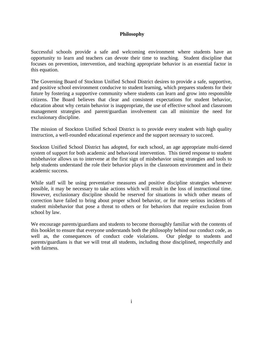# **Philosophy**

Successful schools provide a safe and welcoming environment where students have an opportunity to learn and teachers can devote their time to teaching. Student discipline that focuses on prevention, intervention, and teaching appropriate behavior is an essential factor in this equation.

The Governing Board of Stockton Unified School District desires to provide a safe, supportive, and positive school environment conducive to student learning, which prepares students for their future by fostering a supportive community where students can learn and grow into responsible citizens. The Board believes that clear and consistent expectations for student behavior, education about why certain behavior is inappropriate, the use of effective school and classroom management strategies and parent/guardian involvement can all minimize the need for exclusionary discipline.

The mission of Stockton Unified School District is to provide every student with high quality instruction, a well-rounded educational experience and the support necessary to succeed.

Stockton Unified School District has adopted, for each school, an age appropriate multi-tiered system of support for both academic and behavioral intervention. This tiered response to student misbehavior allows us to intervene at the first sign of misbehavior using strategies and tools to help students understand the role their behavior plays in the classroom environment and in their academic success.

While staff will be using preventative measures and positive discipline strategies whenever possible, it may be necessary to take actions which will result in the loss of instructional time. However, exclusionary discipline should be reserved for situations in which other means of correction have failed to bring about proper school behavior, or for more serious incidents of student misbehavior that pose a threat to others or for behaviors that require exclusion from school by law.

We encourage parents/guardians and students to become thoroughly familiar with the contents of this booklet to ensure that everyone understands both the philosophy behind our conduct code, as well as, the consequences of conduct code violations. Our pledge to students and parents/guardians is that we will treat all students, including those disciplined, respectfully and with fairness.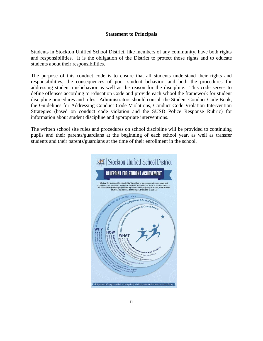#### **Statement to Principals**

Students in Stockton Unified School District, like members of any community, have both rights and responsibilities. It is the obligation of the District to protect those rights and to educate students about their responsibilities.

The purpose of this conduct code is to ensure that all students understand their rights and responsibilities, the consequences of poor student behavior, and both the procedures for addressing student misbehavior as well as the reason for the discipline. This code serves to define offenses according to Education Code and provide each school the framework for student discipline procedures and rules. Administrators should consult the Student Conduct Code Book, the Guidelines for Addressing Conduct Code Violations, Conduct Code Violation Intervention Strategies (based on conduct code violation and the SUSD Police Response Rubric) for information about student discipline and appropriate interventions.

The written school site rules and procedures on school discipline will be provided to continuing pupils and their parents/guardians at the beginning of each school year, as well as transfer students and their parents/guardians at the time of their enrollment in the school.

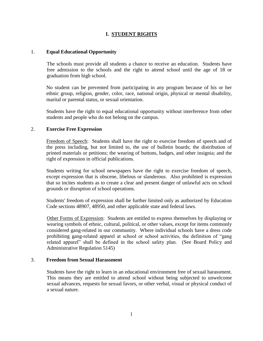# **I. STUDENT RIGHTS**

# 1. **Equal Educational Opportunity**

The schools must provide all students a chance to receive an education. Students have free admission to the schools and the right to attend school until the age of 18 or graduation from high school.

No student can be prevented from participating in any program because of his or her ethnic group, religion, gender, color, race, national origin, physical or mental disability, marital or parental status, or sexual orientation.

Students have the right to equal educational opportunity without interference from other students and people who do not belong on the campus.

#### 2. **Exercise Free Expression**

Freedom of Speech: Students shall have the right to exercise freedom of speech and of the press including, but not limited to, the use of bulletin boards; the distribution of printed materials or petitions; the wearing of buttons, badges, and other insignia; and the right of expression in official publications.

Students writing for school newspapers have the right to exercise freedom of speech, except expression that is obscene, libelous or slanderous. Also prohibited is expression that so incites students as to create a clear and present danger of unlawful acts on school grounds or disruption of school operations.

Students' freedom of expression shall be further limited only as authorized by Education Code sections 48907, 48950, and other applicable state and federal laws.

Other Forms of Expression: Students are entitled to express themselves by displaying or wearing symbols of ethnic, cultural, political, or other values, except for items commonly considered gang-related in our community. Where individual schools have a dress code prohibiting gang-related apparel at school or school activities, the definition of "gang related apparel" shall be defined in the school safety plan. (See Board Policy and Administrative Regulation 5145)

#### 3. **Freedom from Sexual Harassment**

Students have the right to learn in an educational environment free of sexual harassment. This means they are entitled to attend school without being subjected to unwelcome sexual advances, requests for sexual favors, or other verbal, visual or physical conduct of a sexual nature.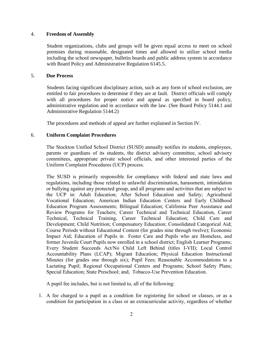# 4. **Freedom of Assembly**

Student organizations, clubs and groups will be given equal access to meet on school premises during reasonable, designated times and allowed to utilize school media including the school newspaper, bulletin boards and public address system in accordance with Board Policy and Administrative Regulation 6145.5.

#### 5. **Due Process**

Students facing significant disciplinary action, such as any form of school exclusion, are entitled to fair procedures to determine if they are at fault. District officials will comply with all procedures for proper notice and appeal as specified in board policy, administrative regulation and in accordance with the law. (See Board Policy 5144.1 and Administrative Regulation 5144.2)

The procedures and methods of appeal are further explained in Section IV.

# 6. **Uniform Complaint Procedures**

The Stockton Unified School District (SUSD) annually notifies its students, employees, parents or guardians of its students, the district advisory committee, school advisory committees, appropriate private school officials, and other interested parties of the Uniform Complaint Procedures (UCP) process.

The SUSD is primarily responsible for compliance with federal and state laws and regulations, including those related to unlawful discrimination, harassment, intimidation or bullying against any protected group, and all programs and activities that are subject to the UCP in: Adult Education; After School Education and Safety; Agricultural Vocational Education; American Indian Education Centers and Early Childhood Education Program Assessments; Bilingual Education; California Peer Assistance and Review Programs for Teachers; Career Technical and Technical Education, Career Technical, Technical Training, Career Technical Education; Child Care and Development; Child Nutrition; Compensatory Education; Consolidated Categorical Aid; Course Periods without Educational Content (for grades nine through twelve); Economic Impact Aid; Education of Pupils in Foster Care and Pupils who are Homeless, and former Juvenile Court Pupils now enrolled in a school district; English Learner Programs; Every Student Succeeds Act/No Child Left Behind (titles I-VII); Local Control Accountability Plans (LCAP); Migrant Education; Physical Education Instructional Minutes (for grades one through six); Pupil Fees; Reasonable Accommodations to a Lactating Pupil; Regional Occupational Centers and Programs; School Safety Plans; Special Education; State Preschool; and, Tobacco-Use Prevention Education.

A pupil fee includes, but is not limited to, all of the following:

1. A fee charged to a pupil as a condition for registering for school or classes, or as a condition for participation in a class or an extracurricular activity, regardless of whether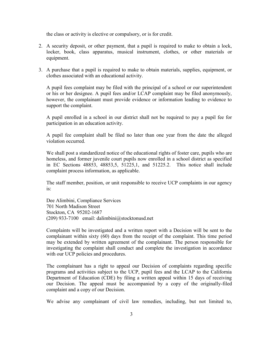the class or activity is elective or compulsory, or is for credit.

- 2. A security deposit, or other payment, that a pupil is required to make to obtain a lock, locker, book, class apparatus, musical instrument, clothes, or other materials or equipment.
- 3. A purchase that a pupil is required to make to obtain materials, supplies, equipment, or clothes associated with an educational activity.

A pupil fees complaint may be filed with the principal of a school or our superintendent or his or her designee. A pupil fees and/or LCAP complaint may be filed anonymously, however, the complainant must provide evidence or information leading to evidence to support the complaint.

A pupil enrolled in a school in our district shall not be required to pay a pupil fee for participation in an education activity.

A pupil fee complaint shall be filed no later than one year from the date the alleged violation occurred.

We shall post a standardized notice of the educational rights of foster care, pupils who are homeless, and former juvenile court pupils now enrolled in a school district as specified in EC Sections 48853, 48853,5, 51225,1, and 51225.2. This notice shall include complaint process information, as applicable.

The staff member, position, or unit responsible to receive UCP complaints in our agency  $i$ s:

Dee Alimbini, Compliance Services 701 North Madison Street Stockton, CA 95202-1687 (209) 933-7100 email: dalimbini@stocktonusd.net

Complaints will be investigated and a written report with a Decision will be sent to the complainant within sixty (60) days from the receipt of the complaint. This time period may be extended by written agreement of the complainant. The person responsible for investigating the complaint shall conduct and complete the investigation in accordance with our UCP policies and procedures.

The complainant has a right to appeal our Decision of complaints regarding specific programs and activities subject to the UCP, pupil fees and the LCAP to the California Department of Education (CDE) by filing a written appeal within 15 days of receiving our Decision. The appeal must be accompanied by a copy of the originally-filed complaint and a copy of our Decision.

We advise any complainant of civil law remedies, including, but not limited to,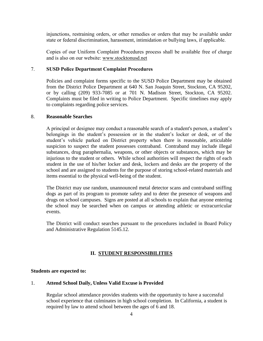injunctions, restraining orders, or other remedies or orders that may be available under state or federal discrimination, harassment, intimidation or bullying laws, if applicable.

Copies of our Uniform Complaint Procedures process shall be available free of charge and is also on our website: www.stocktonusd.net

#### 7. **SUSD Police Department Complaint Procedures**

Policies and complaint forms specific to the SUSD Police Department may be obtained from the District Police Department at 640 N. San Joaquin Street, Stockton, CA 95202, or by calling (209) 933-7085 or at 701 N. Madison Street, Stockton, CA 95202. Complaints must be filed in writing to Police Department. Specific timelines may apply to complaints regarding police services.

#### 8. **Reasonable Searches**

A principal or designee may conduct a reasonable search of a student's person, a student's belongings in the student's possession or in the student's locker or desk, or of the student's vehicle parked on District property when there is reasonable, articulable suspicion to suspect the student possesses contraband. Contraband may include illegal substances, drug paraphernalia, weapons, or other objects or substances, which may be injurious to the student or others. While school authorities will respect the rights of each student in the use of his/her locker and desk, lockers and desks are the property of the school and are assigned to students for the purpose of storing school-related materials and items essential to the physical well-being of the student.

The District may use random, unannounced metal detector scans and contraband sniffing dogs as part of its program to promote safety and to deter the presence of weapons and drugs on school campuses. Signs are posted at all schools to explain that anyone entering the school may be searched when on campus or attending athletic or extracurricular events.

The District will conduct searches pursuant to the procedures included in Board Policy and Administrative Regulation 5145.12.

# **II. STUDENT RESPONSIBILITIES**

# **Students are expected to:**

#### 1. **Attend School Daily, Unless Valid Excuse is Provided**

Regular school attendance provides students with the opportunity to have a successful school experience that culminates in high school completion. In California, a student is required by law to attend school between the ages of 6 and 18.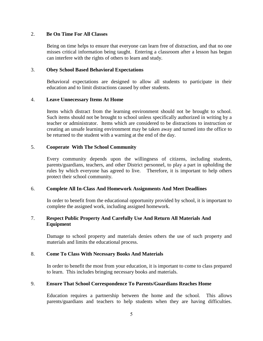## 2. **Be On Time For All Classes**

Being on time helps to ensure that everyone can learn free of distraction, and that no one misses critical information being taught. Entering a classroom after a lesson has begun can interfere with the rights of others to learn and study.

# 3. **Obey School Based Behavioral Expectations**

Behavioral expectations are designed to allow all students to participate in their education and to limit distractions caused by other students.

# 4. **Leave Unnecessary Items At Home**

Items which distract from the learning environment should not be brought to school. Such items should not be brought to school unless specifically authorized in writing by a teacher or administrator. Items which are considered to be distractions to instruction or creating an unsafe learning environment may be taken away and turned into the office to be returned to the student with a warning at the end of the day.

#### 5. **Cooperate With The School Community**

Every community depends upon the willingness of citizens, including students, parents/guardians, teachers, and other District personnel, to play a part in upholding the rules by which everyone has agreed to live. Therefore, it is important to help others protect their school community.

# 6. **Complete All In-Class And Homework Assignments And Meet Deadlines**

In order to benefit from the educational opportunity provided by school, it is important to complete the assigned work, including assigned homework.

# 7. **Respect Public Property And Carefully Use And Return All Materials And Equipment**

Damage to school property and materials denies others the use of such property and materials and limits the educational process.

#### 8. **Come To Class With Necessary Books And Materials**

In order to benefit the most from your education, it is important to come to class prepared to learn. This includes bringing necessary books and materials.

#### 9. **Ensure That School Correspondence To Parents/Guardians Reaches Home**

Education requires a partnership between the home and the school. This allows parents/guardians and teachers to help students when they are having difficulties.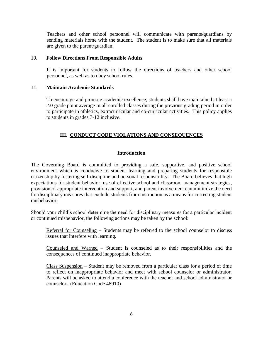Teachers and other school personnel will communicate with parents/guardians by sending materials home with the student. The student is to make sure that all materials are given to the parent/guardian.

# 10. **Follow Directions From Responsible Adults**

It is important for students to follow the directions of teachers and other school personnel, as well as to obey school rules.

# 11. **Maintain Academic Standards**

To encourage and promote academic excellence, students shall have maintained at least a 2.0 grade point average in all enrolled classes during the previous grading period in order to participate in athletics, extracurricular and co-curricular activities. This policy applies to students in grades 7-12 inclusive.

# **III. CONDUCT CODE VIOLATIONS AND CONSEQUENCES**

# **Introduction**

The Governing Board is committed to providing a safe, supportive, and positive school environment which is conducive to student learning and preparing students for responsible citizenship by fostering self-discipline and personal responsibility. The Board believes that high expectations for student behavior, use of effective school and classroom management strategies, provision of appropriate intervention and support, and parent involvement can minimize the need for disciplinary measures that exclude students from instruction as a means for correcting student misbehavior.

Should your child's school determine the need for disciplinary measures for a particular incident or continued misbehavior, the following actions may be taken by the school:

Referral for Counseling – Students may be referred to the school counselor to discuss issues that interfere with learning.

Counseled and Warned – Student is counseled as to their responsibilities and the consequences of continued inappropriate behavior.

Class Suspension – Student may be removed from a particular class for a period of time to reflect on inappropriate behavior and meet with school counselor or administrator. Parents will be asked to attend a conference with the teacher and school administrator or counselor. (Education Code 48910)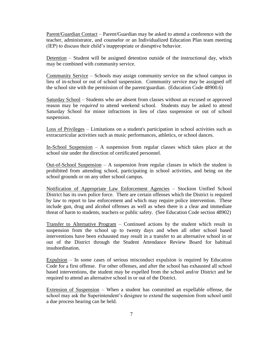Parent/Guardian Contact – Parent/Guardian may be asked to attend a conference with the teacher, administrator, and counselor or an Individualized Education Plan team meeting (IEP) to discuss their child's inappropriate or disruptive behavior.

Detention – Student will be assigned detention outside of the instructional day, which may be combined with community service.

Community Service – Schools may assign community service on the school campus in lieu of in-school or out of school suspension. Community service may be assigned off the school site with the permission of the parent/guardian. (Education Code 48900.6)

Saturday School – Students who are absent from classes without an excused or approved reason may be *required* to attend weekend school. Students may be asked to attend Saturday School for minor infractions in lieu of class suspension or out of school suspension.

Loss of Privileges – Limitations on a student's participation in school activities such as extracurricular activities such as music performances, athletics, or school dances.

In-School Suspension – A suspension from regular classes which takes place at the school site under the direction of certificated personnel.

 $Out-of-School$  Suspension – A suspension from regular classes in which the student is prohibited from attending school, participating in school activities, and being on the school grounds or on any other school campus.

Notification of Appropriate Law Enforcement Agencies – Stockton Unified School District has its own police force. There are certain offenses which the District is required by law to report to law enforcement and which may require police intervention. These include gun, drug and alcohol offenses as well as when there is a clear and immediate threat of harm to students, teachers or public safety. (See Education Code section 48902)

Transfer to Alternative Program – Continued actions by the student which result in suspension from the school up to twenty days and when all other school based interventions have been exhausted may result in a transfer to an alternative school in or out of the District through the Student Attendance Review Board for habitual insubordination.

Expulsion – In some cases of serious misconduct expulsion is required by Education Code for a first offense. For other offenses, and after the school has exhausted all school based interventions, the student may be expelled from the school and/or District and be required to attend an alternative school in or out of the District.

Extension of Suspension – When a student has committed an expellable offense, the school may ask the Superintendent's designee to extend the suspension from school until a due process hearing can be held.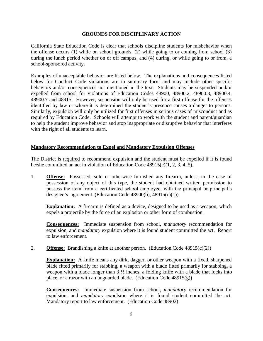# **GROUNDS FOR DISCIPLINARY ACTION**

California State Education Code is clear that schools discipline students for misbehavior when the offense occurs (1) while on school grounds, (2) while going to or coming from school (3) during the lunch period whether on or off campus, and (4) during, or while going to or from, a school-sponsored activity.

Examples of unacceptable behavior are listed below. The explanations and consequences listed below for Conduct Code violations are in summary form and may include other specific behaviors and/or consequences not mentioned in the text. Students may be suspended and/or expelled from school for violations of Education Codes 48900, 48900.2, 48900.3, 48900.4, 48900.7 and 48915. However, suspension will only be used for a first offense for the offenses identified by law or where it is determined the student's presence causes a danger to persons. Similarly, expulsion will only be utilized for first offenses in serious cases of misconduct and as required by Education Code. Schools will attempt to work with the student and parent/guardian to help the student improve behavior and stop inappropriate or disruptive behavior that interferes with the right of all students to learn.

# **Mandatory Recommendation to Expel and Mandatory Expulsion Offenses**

The District is required to recommend expulsion and the student must be expelled if it is found he/she committed an act in violation of Education Code 48915(c)(1, 2, 3, 4, 5).

1. **Offense:** Possessed, sold or otherwise furnished any firearm, unless, in the case of possession of any object of this type, the student had obtained written permission to possess the item from a certificated school employee, with the principal or principal's designee's agreement. (Education Code 48900(b), 48915(c)(1))

**Explanation:** A firearm is defined as a device, designed to be used as a weapon, which expels a projectile by the force of an explosion or other form of combustion.

**Consequences:** Immediate suspension from school, *mandatory* recommendation for expulsion, and *mandatory* expulsion where it is found student committed the act. Report to law enforcement.

2. **Offense:** Brandishing a knife at another person. (Education Code 48915(c)(2))

**Explanation:** A knife means any dirk, dagger, or other weapon with a fixed, sharpened blade fitted primarily for stabbing, a weapon with a blade fitted primarily for stabbing, a weapon with a blade longer than 3 ½ inches, a folding knife with a blade that locks into place, or a razor with an unguarded blade. (Education Code  $48915(g)$ )

**Consequences:** Immediate suspension from school, *mandatory* recommendation for expulsion, and *mandatory* expulsion where it is found student committed the act. Mandatory report to law enforcement. (Education Code 48902)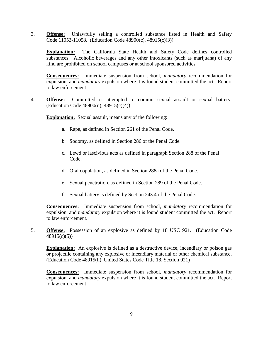3. **Offense:** Unlawfully selling a controlled substance listed in Health and Safety Code [11053-](http://gamutonline.net/displayPolicy/149830/5)[11058.](http://gamutonline.net/displayPolicy/149833/5) (Education Code 48900(c), 48915(c)(3))

**Explanation:** The California State Health and Safety Code defines controlled substances. Alcoholic beverages and any other intoxicants (such as marijuana) of any kind are prohibited on school campuses or at school sponsored activities.

**Consequences:** Immediate suspension from school, *mandatory* recommendation for expulsion, and *mandatory* expulsion where it is found student committed the act. Report to law enforcement.

4. **Offense:** Committed or attempted to commit sexual assault or sexual battery. (Education Code 48900(n), 48915(c)(4))

**Explanation:** Sexual assault, means any of the following:

- a. Rape, as defined in Section 261 of the Penal Code.
- b. Sodomy, as defined in Section 286 of the Penal Code.
- c. Lewd or lascivious acts as defined in paragraph Section 288 of the Penal Code.
- d. Oral copulation, as defined in Section 288a of the Penal Code.
- e. Sexual penetration, as defined in Section 289 of the Penal Code.
- f. Sexual battery is defined by Section 243.4 of the Penal Code.

**Consequences:** Immediate suspension from school, *mandatory* recommendation for expulsion, and *mandatory* expulsion where it is found student committed the act. Report to law enforcement.

5. **Offense:** Possession of an explosive as defined by 18 USC 921. (Education Code 48915(c)(5))

**Explanation:** An explosive is defined as a destructive device, incendiary or poison gas or projectile containing any explosive or incendiary material or other chemical substance. (Education Code 48915(h), United States Code Title 18, Section 921)

**Consequences:** Immediate suspension from school, *mandatory* recommendation for expulsion, and *mandatory* expulsion where it is found student committed the act. Report to law enforcement.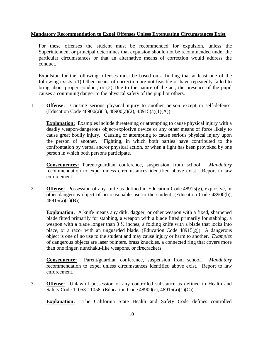# **Mandatory Recommendation to Expel Offenses Unless Extenuating Circumstances Exist**

For these offenses the student must be recommended for expulsion, unless the Superintendent or principal determines that expulsion should not be recommended under the particular circumstances or that an alternative means of correction would address the conduct.

Expulsion for the following offenses must be based on a finding that at least one of the following exists: (1) Other means of correction are not feasible or have repeatedly failed to bring about proper conduct, or (2) Due to the nature of the act, the presence of the pupil causes a continuing danger to the physical safety of the pupil or others.

1. **Offense:** Causing serious physical injury to another person except in self-defense. (Education Code 48900(a)(1), 48900(a)(2), 48915(a)(1)(A))

**Explanation:** Examples include threatening or attempting to cause physical injury with a deadly weapon/dangerous object/explosive device or any other means of force likely to cause great bodily injury. Causing or attempting to cause serious physical injury upon the person of another. Fighting, in which both parties have contributed to the confrontation by verbal and/or physical action, or when a fight has been provoked by one person in which both persons participate.

**Consequences:** Parent/guardian conference, suspension from school. *Mandatory* recommendation to expel unless circumstances identified above exist. Report to law enforcement.

2. **Offense:** Possession of any knife as defined in Education Code 48915(g), explosive, or other dangerous object of no reasonable use to the student. (Education Code 48900(b), 48915(a)(1)(B))

**Explanation:** A knife means any dirk, dagger, or other weapon with a fixed, sharpened blade fitted primarily for stabbing, a weapon with a blade fitted primarily for stabbing, a weapon with a blade longer than 3 ½ inches, a folding knife with a blade that locks into place, or a razor with an unguarded blade. (Education Code  $48915(g)$ ) A dangerous object is one of no use to the student and may cause injury or harm to another. *Examples* of dangerous objects are laser pointers, brass knuckles, a connected ring that covers more than one finger, nunchaku-like weapons, or firecrackers.

**Consequence:** Parent/guardian conference, suspension from school. *Mandatory* recommendation to expel unless circumstances identified above exist. Report to law enforcement.

3. **Offense:** Unlawful possession of any controlled substance as defined in Health and Safety Code 11053-11058. (Education Code 48900(c), 48915(a)(1)(C))

**Explanation:** The California State Health and Safety Code defines controlled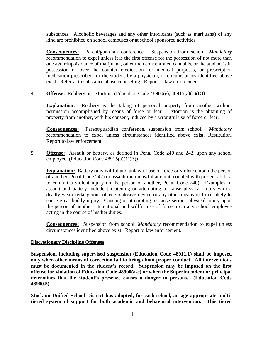substances. Alcoholic beverages and any other intoxicants (such as marijuana) of any kind are prohibited on school campuses or at school sponsored activities.

**Consequences:** Parent/guardian conference. Suspension from school. *Mandatory* recommendation to expel unless it is the first offense for the possession of not more than one avoirdupois ounce of marijuana, other than concentrated cannabis, or the student is in possession of over the counter medication for medical purposes, or prescription medication prescribed for the student by a physician, or circumstances identified above exist. Referral to substance abuse counseling. Report to law enforcement.

4. **Offense:** Robbery or Extortion. (Education Code 48900(e), 48915(a)(1)(D))

**Explanation:** Robbery is the taking of personal property from another without permission accomplished by means of force or fear. Extortion is the obtaining of property from another, with his consent, induced by a wrongful use of force or fear.

**Consequences:** Parent/guardian conference, suspension from school. *Mandatory* recommendation to expel unless circumstances identified above exist. Restitution. Report to law enforcement.

5. **Offense:** Assault or battery, as defined in Penal Code 240 and 242, upon any school employee. (Education Code 48915(a)(1)(E))

**Explanation:** Battery (any willful and unlawful use of force or violence upon the person of another, Penal Code 242) or assault (an unlawful attempt, coupled with present ability, to commit a violent injury on the person of another, Penal Code 240). Examples of assault and battery include threatening or attempting to cause physical injury with a deadly weapon/dangerous object/explosive device or any other means of force likely to cause great bodily injury. Causing or attempting to cause serious physical injury upon the person of another. Intentional and willful use of force upon any school employee acting in the course of his/her duties.

**Consequences:** Suspension from school. *Mandatory* recommendation to expel unless circumstances identified above exist. Report to law enforcement.

# **Discretionary Discipline Offenses**

**Suspension, including supervised suspension (Education Code 48911.1) shall be imposed only when other means of correction fail to bring about proper conduct. All interventions must be documented in the student's record. Suspension may be imposed on the first offense for violation of Education Code 48900(a-e) or when the Superintendent or principal determines that the student's presence causes a danger to persons. (Education Code 48900.5)**

**Stockton Unified School District has adopted, for each school, an age appropriate multitiered system of support for both academic and behavioral intervention. This tiered**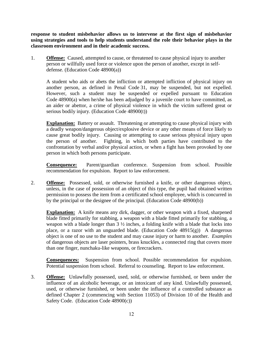**response to student misbehavior allows us to intervene at the first sign of misbehavior using strategies and tools to help students understand the role their behavior plays in the classroom environment and in their academic success.**

1. **Offense:** Caused, attempted to cause, or threatened to cause physical injury to another person or willfully used force or violence upon the person of another, except in selfdefense. (Education Code 48900(a))

A student who aids or abets the infliction or attempted infliction of physical injury on another person, as defined in Penal Code [31,](http://gamutonline.net/displayPolicy/250705/index.html) may be suspended, but not expelled. However, such a student may be suspended or expelled pursuant to Education Code [48900\(](http://gamutonline.net/displayPolicy/137736/index.html)a) when he/she has been adjudged by a juvenile court to have committed, as an aider or abettor, a crime of physical violence in which the victim suffered great or serious bodily injury. (Education Code [48900\(](http://gamutonline.net/displayPolicy/137736/index.html)t))

**Explanation:** Battery or assault. Threatening or attempting to cause physical injury with a deadly weapon/dangerous object/explosive device or any other means of force likely to cause great bodily injury. Causing or attempting to cause serious physical injury upon the person of another. Fighting, in which both parties have contributed to the confrontation by verbal and/or physical action, or when a fight has been provoked by one person in which both persons participate.

**Consequence:** Parent/guardian conference. Suspension from school. Possible recommendation for expulsion. Report to law enforcement.

2. **Offense:** Possessed, sold, or otherwise furnished a knife, or other dangerous object, unless, in the case of possession of an object of this type, the pupil had obtained written permission to possess the item from a certificated school employee, which is concurred in by the principal or the designee of the principal. (Education Code 48900(b))

**Explanation:** A knife means any dirk, dagger, or other weapon with a fixed, sharpened blade fitted primarily for stabbing, a weapon with a blade fitted primarily for stabbing, a weapon with a blade longer than 3 ½ inches, a folding knife with a blade that locks into place, or a razor with an unguarded blade. (Education Code  $48915(g)$ ) A dangerous object is one of no use to the student and may cause injury or harm to another. *Examples* of dangerous objects are laser pointers, brass knuckles, a connected ring that covers more than one finger, nunchaku-like weapons, or firecrackers.

**Consequences:** Suspension from school. Possible recommendation for expulsion. Potential suspension from school. Referral to counseling. Report to law enforcement.

3. **Offense:** Unlawfully possessed, used, sold, or otherwise furnished, or been under the influence of an alcoholic beverage, or an intoxicant of any kind. Unlawfully possessed, used, or otherwise furnished, or been under the influence of a controlled substance as defined Chapter 2 (commencing with Section 11053) of Division 10 of the Health and Safety Code. (Education Code 48900(c))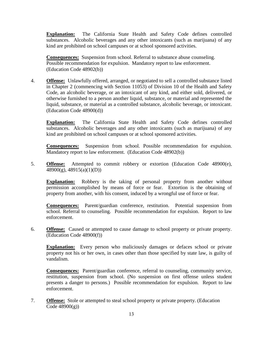**Explanation:** The California State Health and Safety Code defines controlled substances. Alcoholic beverages and any other intoxicants (such as marijuana) of any kind are prohibited on school campuses or at school sponsored activities.

**Consequences:** Suspension from school. Referral to substance abuse counseling. Possible recommendation for expulsion. Mandatory report to law enforcement. (Education Code 48902(b))

4. **Offense:** Unlawfully offered, arranged, or negotiated to sell a controlled substance listed in Chapter 2 (commencing with Section 11053) of Division 10 of the Health and Safety Code, an alcoholic beverage, or an intoxicant of any kind, and either sold, delivered, or otherwise furnished to a person another liquid, substance, or material and represented the liquid, substance, or material as a controlled substance, alcoholic beverage, or intoxicant. (Education Code 48900(d))

**Explanation:** The California State Health and Safety Code defines controlled substances. Alcoholic beverages and any other intoxicants (such as marijuana) of any kind are prohibited on school campuses or at school sponsored activities.

**Consequences:** Suspension from school. Possible recommendation for expulsion. Mandatory report to law enforcement. (Education Code 48902(b))

5. **Offense:** Attempted to commit robbery or extortion (Education Code 48900(e), 48900(g), 48915(a)(1)(D))

**Explanation:** Robbery is the taking of personal property from another without permission accomplished by means of force or fear. Extortion is the obtaining of property from another, with his consent, induced by a wrongful use of force or fear.

**Consequences:** Parent/guardian conference, restitution. Potential suspension from school. Referral to counseling. Possible recommendation for expulsion. Report to law enforcement.

6. **Offense:** Caused or attempted to cause damage to school property or private property. (Education Code 48900(f))

**Explanation:** Every person who maliciously damages or defaces school or private property not his or her own, in cases other than those specified by state law, is guilty of vandalism.

**Consequences:** Parent/guardian conference, referral to counseling, community service, restitution, suspension from school. (No suspension on first offense unless student presents a danger to persons.) Possible recommendation for expulsion. Report to law enforcement.

7. **Offense:** Stole or attempted to steal school property or private property. (Education  $Code 48900(g)$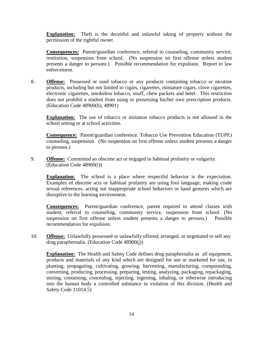**Explanation:** Theft is the deceitful and unlawful taking of property without the permission of the rightful owner.

**Consequences:** Parent/guardian conference, referral to counseling, community service, restitution, suspension from school. (No suspension on first offense unless student presents a danger to persons.) Possible recommendation for expulsion. Report to law enforcement.

8. **Offense:** Possessed or used tobacco or any products containing tobacco or nicotine products, including but not limited to cigars, cigarettes, miniature cigars, clove cigarettes, electronic cigarettes, smokeless tobacco, snuff, chew packets and betel. This restriction does not prohibit a student from using or possessing his/her own prescription products. (Education Code 48900(h), 48901)

**Explanation:** The use of tobacco or imitation tobacco products is not allowed in the school setting or at school activities.

**Consequence:** Parent/guardian conference. Tobacco Use Prevention Education (TUPE) counseling, suspension. (No suspension on first offense unless student presents a danger to persons.)

9. **Offense:** Committed an obscene act or engaged in habitual profanity or vulgarity. (Education Code 48900(i))

**Explanation:** The school is a place where respectful behavior is the expectation. Examples of obscene acts or habitual profanity are using foul language, making crude sexual references, acting out inappropriate school behaviors or hand gestures which are disruptive to the learning environment.

**Consequences:** Parent/guardian conference, parent required to attend classes with student, referral to counseling, community service, suspension from school. (No suspension on first offense unless student presents a danger to persons.) Possible recommendation for expulsion.

10. **Offense:** Unlawfully possessed or unlawfully offered, arranged, or negotiated to sell any drug paraphernalia. (Education Code 48900(j))

**Explanation:** The Health and Safety Code defines drug paraphernalia as all equipment, products and materials of any kind which are designed for use or marketed for use, in planting, propagating, cultivating, growing, harvesting, manufacturing, compounding, converting, producing, processing, preparing, testing, analyzing, packaging, repackaging, storing, containing, concealing, injecting, ingesting, inhaling, or otherwise introducing into the human body a controlled substance in violation of this division. (Health and Safety Code 11014.5)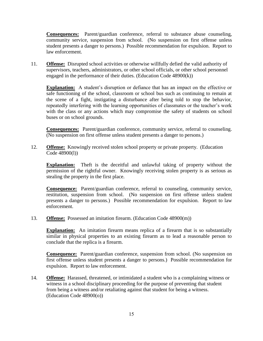**Consequences:** Parent/guardian conference, referral to substance abuse counseling, community service, suspension from school. (No suspension on first offense unless student presents a danger to persons.) Possible recommendation for expulsion. Report to law enforcement.

11. **Offense:** Disrupted school activities or otherwise willfully defied the valid authority of supervisors, teachers, administrators, or other school officials, or other school personnel engaged in the performance of their duties. (Education Code 48900(k))

**Explanation:** A student's disruption or defiance that has an impact on the effective or safe functioning of the school, classroom or school bus such as continuing to remain at the scene of a fight, instigating a disturbance after being told to stop the behavior, repeatedly interfering with the learning opportunities of classmates or the teacher's work with the class or any actions which may compromise the safety of students on school buses or on school grounds.

**Consequences:** Parent/guardian conference, community service, referral to counseling. (No suspension on first offense unless student presents a danger to persons.)

12. **Offense:** Knowingly received stolen school property or private property. (Education Code 48900(l))

**Explanation:** Theft is the deceitful and unlawful taking of property without the permission of the rightful owner. Knowingly receiving stolen property is as serious as stealing the property in the first place.

**Consequence:** Parent/guardian conference, referral to counseling, community service, restitution, suspension from school. (No suspension on first offense unless student presents a danger to persons.) Possible recommendation for expulsion. Report to law enforcement.

13. **Offense:** Possessed an imitation firearm. (Education Code 48900(m))

**Explanation:** An imitation firearm means replica of a firearm that is so substantially similar in physical properties to an existing firearm as to lead a reasonable person to conclude that the replica is a firearm.

**Consequence:** Parent/guardian conference, suspension from school. (No suspension on first offense unless student presents a danger to persons.) Possible recommendation for expulsion. Report to law enforcement.

14. **Offense:** Harassed, threatened, or intimidated a student who is a complaining witness or witness in a school disciplinary proceeding for the purpose of preventing that student from being a witness and/or retaliating against that student for being a witness. (Education Code 48900(o))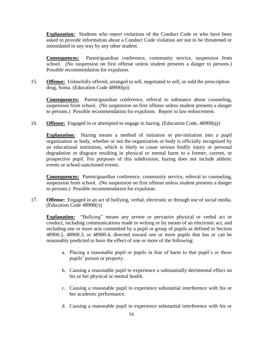**Explanation:** Students who report violations of the Conduct Code or who have been asked to provide information about a Conduct Code violation are not to be threatened or intimidated in any way by any other student.

**Consequences:** Parent/guardian conference, community service, suspension from school. (No suspension on first offense unless student presents a danger to persons.) Possible recommendation for expulsion.

15. **Offense:** Unlawfully offered, arranged to sell, negotiated to sell, or sold the prescription drug, Soma. (Education Code 48900(p))

**Consequences:** Parent/guardian conference, referral to substance abuse counseling, suspension from school. (No suspension on first offense unless student presents a danger to persons.) Possible recommendation for expulsion. Report to law enforcement.

16. **Offense:** Engaged in or attempted to engage in hazing. (Education Code, 48900(q))

**Explanation:** Hazing means a method of initiation or pre-initiation into a pupil organization or body, whether or not the organization or body is officially recognized by an educational institution, which is likely to cause serious bodily injury or personal degradation or disgrace resulting in physical or mental harm to a former, current, or prospective pupil. For purposes of this subdivision, hazing does not include athletic events or school-sanctioned events.

**Consequences:** Parent/guardian conference, community service, referral to counseling, suspension from school. (No suspension on first offense unless student presents a danger to persons.) Possible recommendation for expulsion.

17. **Offense:** Engaged in an act of bullying, verbal, electronic or through use of social media. (Education Code 48900(r))

**Explanation:** "Bullying" means any severe or pervasive physical or verbal act or conduct, including communications made in writing or by means of an electronic act, and including one or more acts committed by a pupil or group of pupils as defined in Section 48900.2, 48900.3, or 48900.4, directed toward one or more pupils that has or can be reasonably predicted to have the effect of one or more of the following:

- a. Placing a reasonable pupil or pupils in fear of harm to that pupil's or those pupils' person or property.
- b. Causing a reasonable pupil to experience a substantially detrimental effect on his or her physical or mental health.
- c. Causing a reasonable pupil to experience substantial interference with his or her academic performance.
- d. Causing a reasonable pupil to experience substantial interference with his or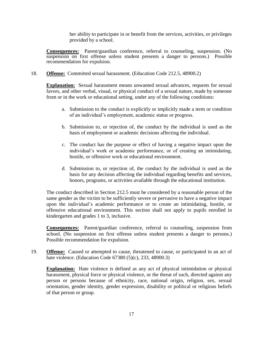her ability to participate in or benefit from the services, activities, or privileges provided by a school.

**Consequences:** Parent/guardian conference, referral to counseling, suspension. (No suspension on first offense unless student presents a danger to persons.) Possible recommendation for expulsion.

18. **Offense:** Committed sexual harassment. (Education Code 212.5, 48900.2)

**Explanation:** Sexual harassment means unwanted sexual advances, requests for sexual favors, and other verbal, visual, or physical conduct of a sexual nature, made by someone from or in the work or educational setting, under any of the following conditions:

- a. Submission to the conduct is explicitly or implicitly made a term or condition of an individual's employment, academic status or progress.
- b. Submission to, or rejection of, the conduct by the individual is used as the basis of employment or academic decisions affecting the individual.
- c. The conduct has the purpose or effect of having a negative impact upon the individual's work or academic performance, or of creating an intimidating, hostile, or offensive work or educational environment.
- d. Submission to, or rejection of, the conduct by the individual is used as the basis for any decision affecting the individual regarding benefits and services, honors, programs, or activities available through the educational institution.

The conduct described in Section 212.5 must be considered by a reasonable person of the same gender as the victim to be sufficiently severe or pervasive to have a negative impact upon the individual's academic performance or to create an intimidating, hostile, or offensive educational environment. This section shall not apply to pupils enrolled in kindergarten and grades 1 to 3, inclusive.

**Consequences:** Parent/guardian conference, referral to counseling, suspension from school. (No suspension on first offense unless student presents a danger to persons.) Possible recommendation for expulsion.

19. **Offense:** Caused or attempted to cause, threatened to cause, or participated in an act of hate violence. (Education Code 67380 (5)(c), 233, 48900.3)

**Explanation:** Hate violence is defined as any act of physical intimidation or physical harassment, physical force or physical violence, or the threat of such, directed against any person or persons because of ethnicity, race, national origin, religion, sex, sexual orientation, gender identity, gender expression, disability or political or religious beliefs of that person or group.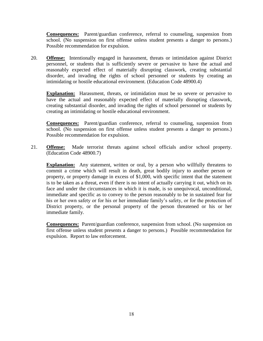**Consequences:** Parent/guardian conference, referral to counseling, suspension from school. (No suspension on first offense unless student presents a danger to persons.) Possible recommendation for expulsion.

20. **Offense:** Intentionally engaged in harassment, threats or intimidation against District personnel, or students that is sufficiently severe or pervasive to have the actual and reasonably expected effect of materially disrupting classwork, creating substantial disorder, and invading the rights of school personnel or students by creating an intimidating or hostile educational environment. (Education Code 48900.4)

**Explanation:** Harassment, threats, or intimidation must be so severe or pervasive to have the actual and reasonably expected effect of materially disrupting classwork, creating substantial disorder, and invading the rights of school personnel or students by creating an intimidating or hostile educational environment.

**Consequences:** Parent/guardian conference, referral to counseling, suspension from school. (No suspension on first offense unless student presents a danger to persons.) Possible recommendation for expulsion.

21. **Offense:** Made terrorist threats against school officials and/or school property. (Education Code 48900.7)

**Explanation:** Any statement, written or oral, by a person who willfully threatens to commit a crime which will result in death, great bodily injury to another person or property, or property damage in excess of \$1,000, with specific intent that the statement is to be taken as a threat, even if there is no intent of actually carrying it out, which on its face and under the circumstances in which it is made, is so unequivocal, unconditional, immediate and specific as to convey to the person reasonably to be in sustained fear for his or her own safety or for his or her immediate family's safety, or for the protection of District property, or the personal property of the person threatened or his or her immediate family.

**Consequences:** Parent/guardian conference, suspension from school. (No suspension on first offense unless student presents a danger to persons.) Possible recommendation for expulsion. Report to law enforcement.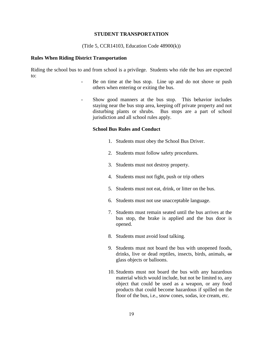#### **STUDENT TRANSPORTATION**

(Title 5, CCR14103, Education Code 48900(k))

#### **Rules When Riding District Transportation**

Riding the school bus to and from school is a privilege. Students who ride the bus are expected to:

- Be on time at the bus stop. Line up and do not shove or push others when entering or exiting the bus.
- Show good manners at the bus stop. This behavior includes staying near the bus stop area, keeping off private property and not disturbing plants or shrubs. Bus stops are a part of school jurisdiction and all school rules apply.

#### **School Bus Rules and Conduct**

- 1. Students must obey the School Bus Driver.
- 2. Students must follow safety procedures.
- 3. Students must not destroy property.
- 4. Students must not fight, push or trip others
- 5. Students must not eat, drink, or litter on the bus.
- 6. Students must not use unacceptable language.
- 7. Students must remain seated until the bus arrives at the bus stop, the brake is applied and the bus door is opened.
- 8. Students must avoid loud talking.
- 9. Students must not board the bus with unopened foods, drinks, live or dead reptiles, insects, birds, animals, or glass objects or balloons.
- 10. Students must not board the bus with any hazardous material which would include, but not be limited to, any object that could be used as a weapon, or any food products that could become hazardous if spilled on the floor of the bus, i.e., snow cones, sodas, ice cream, etc.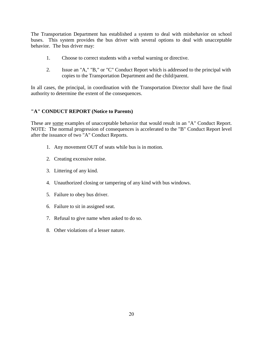The Transportation Department has established a system to deal with misbehavior on school buses. This system provides the bus driver with several options to deal with unacceptable behavior. The bus driver may:

- 1. Choose to correct students with a verbal warning or directive.
- 2. Issue an "A," "B," or "C" Conduct Report which is addressed to the principal with copies to the Transportation Department and the child/parent.

In all cases, the principal, in coordination with the Transportation Director shall have the final authority to determine the extent of the consequences.

# **"A" CONDUCT REPORT (Notice to Parents)**

These are some examples of unacceptable behavior that would result in an "A" Conduct Report. NOTE: The normal progression of consequences is accelerated to the "B" Conduct Report level after the issuance of two "A" Conduct Reports.

- 1. Any movement OUT of seats while bus is in motion.
- 2. Creating excessive noise.
- 3. Littering of any kind.
- 4. Unauthorized closing or tampering of any kind with bus windows.
- 5. Failure to obey bus driver.
- 6. Failure to sit in assigned seat.
- 7. Refusal to give name when asked to do so.
- 8. Other violations of a lesser nature.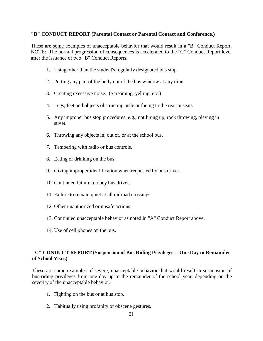# **"B" CONDUCT REPORT (Parental Contact or Parental Contact and Conference.)**

These are some examples of unacceptable behavior that would result in a "B" Conduct Report. NOTE: The normal progression of consequences is accelerated to the "C" Conduct Report level after the issuance of two "B" Conduct Reports.

- 1. Using other than the student's regularly designated bus stop.
- 2. Putting any part of the body out of the bus window at any time.
- 3. Creating excessive noise. (Screaming, yelling, etc.)
- 4. Legs, feet and objects obstructing aisle or facing to the rear in seats.
- 5. Any improper bus stop procedures, e.g., not lining up, rock throwing, playing in street.
- 6. Throwing any objects in, out of, or at the school bus.
- 7. Tampering with radio or bus controls.
- 8. Eating or drinking on the bus.
- 9. Giving improper identification when requested by bus driver.
- 10. Continued failure to obey bus driver.
- 11. Failure to remain quiet at all railroad crossings.
- 12. Other unauthorized or unsafe actions.
- 13. Continued unacceptable behavior as noted in "A" Conduct Report above.
- 14. Use of cell phones on the bus.

# **"C" CONDUCT REPORT (Suspension of Bus Riding Privileges -- One Day to Remainder of School Year.)**

These are some examples of severe, unacceptable behavior that would result in suspension of bus-riding privileges from one day up to the remainder of the school year, depending on the severity of the unacceptable behavior.

- 1. Fighting on the bus or at bus stop.
- 2. Habitually using profanity or obscene gestures.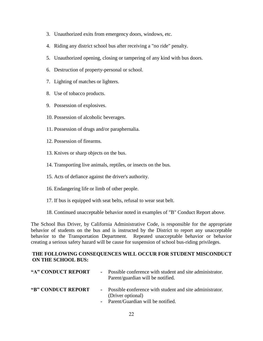- 3. Unauthorized exits from emergency doors, windows, etc.
- 4. Riding any district school bus after receiving a "no ride" penalty.
- 5. Unauthorized opening, closing or tampering of any kind with bus doors.
- 6. Destruction of property-personal or school.
- 7. Lighting of matches or lighters.
- 8. Use of tobacco products.
- 9. Possession of explosives.
- 10. Possession of alcoholic beverages.
- 11. Possession of drugs and/or paraphernalia.
- 12. Possession of firearms.
- 13. Knives or sharp objects on the bus.
- 14. Transporting live animals, reptiles, or insects on the bus.
- 15. Acts of defiance against the driver's authority.
- 16. Endangering life or limb of other people.
- 17. If bus is equipped with seat belts, refusal to wear seat belt.
- 18. Continued unacceptable behavior noted in examples of "B" Conduct Report above.

The School Bus Driver, by California Administrative Code, is responsible for the appropriate behavior of students on the bus and is instructed by the District to report any unacceptable behavior to the Transportation Department. Repeated unacceptable behavior or behavior creating a serious safety hazard will be cause for suspension of school bus-riding privileges.

# **THE FOLLOWING CONSEQUENCES WILL OCCUR FOR STUDENT MISCONDUCT ON THE SCHOOL BUS:**

| "A" CONDUCT REPORT | - Possible conference with student and site administrator.<br>Parent/guardian will be notified. |
|--------------------|-------------------------------------------------------------------------------------------------|
| "B" CONDUCT REPORT | - Possible conference with student and site administrator.<br>(Driver optional)                 |
|                    | - Parent/Guardian will be notified.                                                             |

**-** Parent/Guardian will be notified.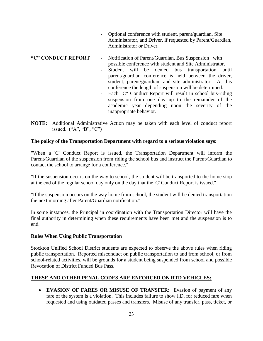- Optional conference with student, parent/guardian, Site Administrator, and Driver, if requested by Parent/Guardian, Administrator or Driver.

## **"C" CONDUCT REPORT -** Notification of Parent/Guardian, Bus Suspension with possible conference with student and Site Administrator.

- **-** Student will be denied bus transportation until parent/guardian conference is held between the driver, student, parent/guardian, and site administrator. At this conference the length of suspension will be determined.
- Each "C" Conduct Report will result in school bus-riding suspension from one day up to the remainder of the academic year depending upon the severity of the inappropriate behavior.
- **NOTE:** Additional Administrative Action may be taken with each level of conduct report issued.  $({}^{\omega}A$ ", "B", "C")

# **The policy of the Transportation Department with regard to a serious violation says:**

"When a 'C' Conduct Report is issued, the Transportation Department will inform the Parent/Guardian of the suspension from riding the school bus and instruct the Parent/Guardian to contact the school to arrange for a conference."

"If the suspension occurs on the way to school, the student will be transported to the home stop at the end of the regular school day only on the day that the 'C' Conduct Report is issued."

"If the suspension occurs on the way home from school, the student will be denied transportation the next morning after Parent/Guardian notification."

In some instances, the Principal in coordination with the Transportation Director will have the final authority in determining when these requirements have been met and the suspension is to end.

# **Rules When Using Public Transportation**

Stockton Unified School District students are expected to observe the above rules when riding public transportation. Reported misconduct on public transportation to and from school, or from school-related activities, will be grounds for a student being suspended from school and possible Revocation of District Funded Bus Pass.

# **THESE AND OTHER PENAL CODES ARE ENFORCED ON RTD VEHICLES:**

• **EVASION OF FARES OR MISUSE OF TRANSFER:** Evasion of payment of any fare of the system is a violation. This includes failure to show I.D. for reduced fare when requested and using outdated passes and transfers. Misuse of any transfer, pass, ticket, or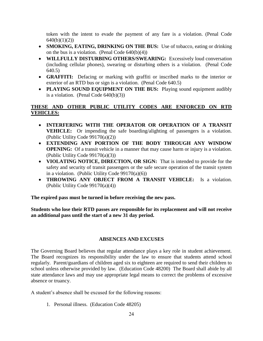token with the intent to evade the payment of any fare is a violation. (Penal Code  $640(b)(1)(2)$ 

- **SMOKING, EATING, DRINKING ON THE BUS:** Use of tobacco, eating or drinking on the bus is a violation. (Penal Code  $640(b)(4)$ )
- **WILLFULLY DISTURBING OTHERS/SWEARING:** Excessively loud conversation (including cellular phones), swearing or disturbing others is a violation. (Penal Code 640.5)
- **GRAFFITI:** Defacing or marking with graffiti or inscribed marks to the interior or exterior of an RTD bus or sign is a violation. (Penal Code 640.5)
- **PLAYING SOUND EQUIPMENT ON THE BUS:** Playing sound equipment audibly is a violation. (Penal Code  $640(b)(3)$ )

# **THESE AND OTHER PUBLIC UTILITY CODES ARE ENFORCED ON RTD VEHICLES:**

- **INTERFERING WITH THE OPERATOR OR OPERATION OF A TRANSIT VEHICLE:** Or impending the safe boarding/alighting of passengers is a violation. (Public Utility Code 99170(a)(2))
- **EXTENDING ANY PORTION OF THE BODY THROUGH ANY WINDOW OPENING:** Of a transit vehicle in a manner that may cause harm or injury is a violation. (Public Utility Code 99170(a)(3))
- **VIOLATING NOTICE, DIRECTION, OR SIGN:** That is intended to provide for the safety and security of transit passengers or the safe secure operation of the transit system in a violation. (Public Utility Code  $99170(a)(6)$ )
- **THROWING ANY OBJECT FROM A TRANSIT VEHICLE:** Is a violation. (Public Utility Code 99170(a)(4))

**The expired pass must be turned in before receiving the new pass.** 

**Students who lose their RTD passes are responsible for its replacement and will not receive an additional pass until the start of a new 31 day period.** 

# **ABSENCES AND EXCUSES**

The Governing Board believes that regular attendance plays a key role in student achievement. The Board recognizes its responsibility under the law to ensure that students attend school regularly. Parent/guardians of children aged six to eighteen are required to send their children to school unless otherwise provided by law. (Education Code 48200) The Board shall abide by all state attendance laws and may use appropriate legal means to correct the problems of excessive absence or truancy.

A student's absence shall be excused for the following reasons:

1. Personal illness. (Education Code 48205)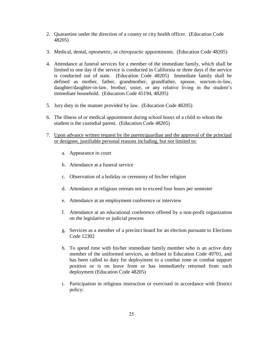- 2. Quarantine under the direction of a county or city health officer. (Education Code 48205)
- 3. Medical, dental, optometric, or chiropractic appointments. (Education Code 48205)
- 4. Attendance at funeral services for a member of the immediate family, which shall be limited to one day if the service is conducted in California or three days if the service is conducted out of state. (Education Code 48205) Immediate family shall be defined as mother, father, grandmother, grandfather, spouse, son/son-in-law, daughter/daughter-in-law, brother, sister, or any relative living in the student's immediate household. (Education Code 45194, 48205)
- 5. Jury duty in the manner provided by law. (Education Code 48205)
- 6. The illness of or medical appointment during school hours of a child to whom the student is the custodial parent. (Education Code 48205)
- 7. Upon advance written request by the parent/guardian and the approval of the principal or designee, justifiable personal reasons including, but not limited to:
	- a. Appearance in court
	- b. Attendance at a funeral service
	- c. Observation of a holiday or ceremony of his/her religion
	- d. Attendance at religious retreats not to exceed four hours per semester
	- e. Attendance at an employment conference or interview
	- f. Attendance at an educational conference offered by a non-profit organization on the legislative or judicial process
	- g. Services as a member of a precinct board for an election pursuant to Elections Code 12302
	- h. To spend time with his/her immediate family member who is an active duty member of the uniformed services, as defined in Education Code 49701, and has been called to duty for deployment to a combat zone or combat support position or is on leave from or has immediately returned from such deployment (Education Code 48205)
	- i. Participation in religious instruction or exercised in accordance with District policy: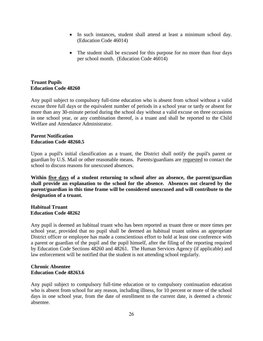- In such instances, student shall attend at least a minimum school day. (Education Code 46014)
- The student shall be excused for this purpose for no more than four days per school month. (Education Code 46014)

# **Truant Pupils Education Code 48260**

Any pupil subject to compulsory full-time education who is absent from school without a valid excuse three full days or the equivalent number of periods in a school year or tardy or absent for more than any 30-minute period during the school day without a valid excuse on three occasions in one school year, or any combination thereof, is a truant and shall be reported to the Child Welfare and Attendance Administrator.

# **Parent Notification Education Code 48260.5**

Upon a pupil's initial classification as a truant, the District shall notify the pupil's parent or guardian by U.S. Mail or other reasonable means. Parents/guardians are requested to contact the school to discuss reasons for unexcused absences.

**Within five days of a student returning to school after an absence, the parent/guardian shall provide an explanation to the school for the absence. Absences not cleared by the parent/guardian in this time frame will be considered unexcused and will contribute to the designation of a truant.**

# **Habitual Truant Education Code 48262**

Any pupil is deemed an habitual truant who has been reported as truant three or more times per school year, provided that no pupil shall be deemed an habitual truant unless an appropriate District officer or employee has made a conscientious effort to hold at least one conference with a parent or guardian of the pupil and the pupil himself, after the filing of the reporting required by Education Code Sections 48260 and 48261. The Human Services Agency (if applicable) and law enforcement will be notified that the student is not attending school regularly.

# **Chronic Absentee Education Code 48263.6**

Any pupil subject to compulsory full-time education or to compulsory continuation education who is absent from school for any reason, including illness, for 10 percent or more of the school days in one school year, from the date of enrollment to the current date, is deemed a chronic absentee.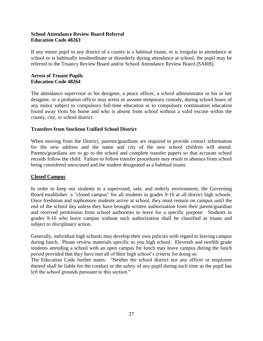# **School Attendance Review Board Referral Education Code 48263**

If any minor pupil in any district of a county is a habitual truant, or is irregular in attendance at school or is habitually insubordinate or disorderly during attendance at school, the pupil may be referred to the Truancy Review Board and/or School Attendance Review Board (SARB).

# **Arrest of Truant Pupils Education Code 48264**

The attendance supervisor or his designee, a peace officer, a school administrator or his or her designee, or a probation officer may arrest or assume temporary custody, during school hours of any minor subject to compulsory full-time education or to compulsory continuation education found away from his home and who is absent from school without a valid excuse within the county, city, or school district.

# **Transfers from Stockton Unified School District**

When moving from the District, parents/guardians are required to provide contact information for the new address and the name and city of the new school children will attend. Parents/guardians are to go to the school and complete transfer papers so that accurate school records follow the child. Failure to follow transfer procedures may result in absence from school being considered unexcused and the student designated as a habitual truant.

# **Closed Campus**

In order to keep our students in a supervised, safe, and orderly environment, the Governing Board establishes a "closed campus" for all students in grades 9-10 at all district high schools. Once freshman and sophomore students arrive at school, they must remain on campus until the end of the school day unless they have brought written authorization from their parent/guardian and received permission from school authorities to leave for a specific purpose. Students in grades 9-10 who leave campus without such authorization shall be classified as truant and subject to disciplinary action.

Generally, individual high schools may develop their own policies with regard to leaving campus during lunch. Please review materials specific to you high school. Eleventh and twelfth grade students attending a school with an open campus for lunch may leave campus during the lunch period provided that they have met all of their high school's criteria for doing so.

The Education Code further states: "Neither the school district nor any officer or employee thereof shall be liable for the conduct or the safety of any pupil during such time as the pupil has left the school grounds pursuant to this section."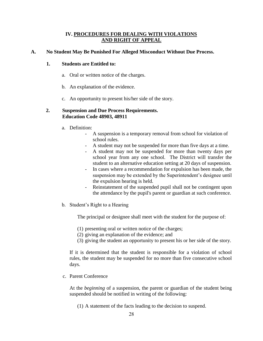# **IV. PROCEDURES FOR DEALING WITH VIOLATIONS AND RIGHT OF APPEAL**

# **A. No Student May Be Punished For Alleged Misconduct Without Due Process.**

# **1. Students are Entitled to:**

- a. Oral or written notice of the charges.
- b. An explanation of the evidence.
- c. An opportunity to present his/her side of the story.

#### **2. Suspension and Due Process Requirements. Education Code 48903, 48911**

- a. Definition:
	- A suspension is a temporary removal from school for violation of school rules.
	- A student may not be suspended for more than five days at a time.
	- A student may not be suspended for more than twenty days per school year from any one school. The District will transfer the student to an alternative education setting at 20 days of suspension.
	- In cases where a recommendation for expulsion has been made, the suspension may be extended by the Superintendent's designee until the expulsion hearing is held.
	- Reinstatement of the suspended pupil shall not be contingent upon the attendance by the pupil's parent or guardian at such conference.
- b. Student's Right to a Hearing

The principal or designee shall meet with the student for the purpose of:

- (1) presenting oral or written notice of the charges;
- (2) giving an explanation of the evidence; and
- (3) giving the student an opportunity to present his or her side of the story.

If it is determined that the student is responsible for a violation of school rules, the student may be suspended for no more than five consecutive school days.

c. Parent Conference

At the *beginning* of a suspension, the parent or guardian of the student being suspended should be notified in writing of the following:

(1) A statement of the facts leading to the decision to suspend.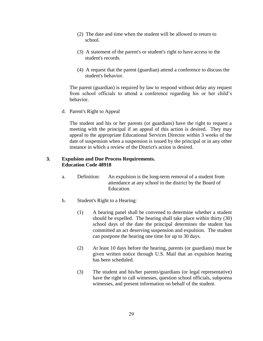- (2) The date and time when the student will be allowed to return to school.
- (3) A statement of the parent's or student's right to have access to the student's records.
- (4) A request that the parent (guardian) attend a conference to discuss the student's behavior.

The parent (guardian) is required by law to respond without delay any request from school officials to attend a conference regarding his or her child's behavior.

d. Parent's Right to Appeal

The student and his or her parents (or guardians) have the right to request a meeting with the principal if an appeal of this action is desired. They may appeal to the appropriate Educational Services Director within 3 weeks of the date of suspension when a suspension is issued by the principal or in any other instance in which a review of the District's action is desired.

# **3. Expulsion and Due Process Requirements. Education Code 48918**

- a. Definition: An expulsion is the long-term removal of a student from attendance at any school in the district by the Board of Education.
- b. Student's Right to a Hearing:
	- (1) A hearing panel shall be convened to determine whether a student should be expelled. The hearing shall take place within thirty (30) school days of the date the principal determines the student has committed an act deserving suspension and expulsion. The student can postpone the hearing one time for up to 30 days.
	- (2) At least 10 days before the hearing, parents (or guardians) must be given written notice through U.S. Mail that an expulsion hearing has been scheduled.
	- (3) The student and his/her parents/guardians (or legal representative) have the right to call witnesses, question school officials, subpoena witnesses, and present information on behalf of the student.